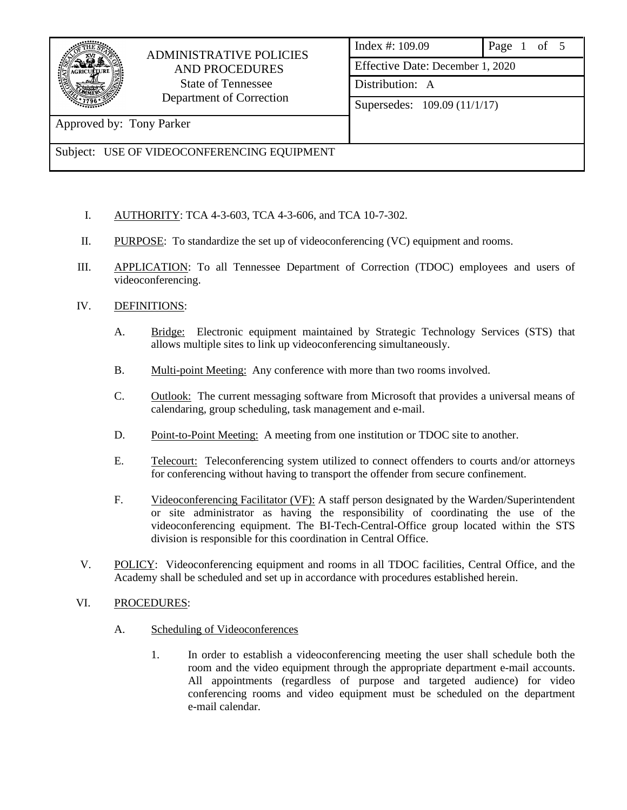

## ADMINISTRATIVE POLICIES AND PROCEDURES State of Tennessee Department of Correction

|  | Index #: 109.09                                 | Page 1 of 5 |  |  |  |  |
|--|-------------------------------------------------|-------------|--|--|--|--|
|  | Effective Date: December 1, 2020                |             |  |  |  |  |
|  | Distribution: A<br>Supersedes: 109.09 (11/1/17) |             |  |  |  |  |
|  |                                                 |             |  |  |  |  |
|  |                                                 |             |  |  |  |  |

Approved by: Tony Parker

## Subject: USE OF VIDEOCONFERENCING EQUIPMENT

- I. AUTHORITY: TCA 4-3-603, TCA 4-3-606, and TCA 10-7-302.
- II. PURPOSE: To standardize the set up of videoconferencing (VC) equipment and rooms.
- III. APPLICATION: To all Tennessee Department of Correction (TDOC) employees and users of videoconferencing.
- IV. DEFINITIONS:
	- A. Bridge: Electronic equipment maintained by Strategic Technology Services (STS) that allows multiple sites to link up videoconferencing simultaneously.
	- B. Multi-point Meeting: Any conference with more than two rooms involved.
	- C. Outlook: The current messaging software from Microsoft that provides a universal means of calendaring, group scheduling, task management and e-mail.
	- D. Point-to-Point Meeting: A meeting from one institution or TDOC site to another.
	- E. Telecourt: Teleconferencing system utilized to connect offenders to courts and/or attorneys for conferencing without having to transport the offender from secure confinement.
	- F. Videoconferencing Facilitator (VF): A staff person designated by the Warden/Superintendent or site administrator as having the responsibility of coordinating the use of the videoconferencing equipment. The BI-Tech-Central-Office group located within the STS division is responsible for this coordination in Central Office.
- V. POLICY: Videoconferencing equipment and rooms in all TDOC facilities, Central Office, and the Academy shall be scheduled and set up in accordance with procedures established herein.
- VI. PROCEDURES:
	- A. Scheduling of Videoconferences
		- 1. In order to establish a videoconferencing meeting the user shall schedule both the room and the video equipment through the appropriate department e-mail accounts. All appointments (regardless of purpose and targeted audience) for video conferencing rooms and video equipment must be scheduled on the department e-mail calendar.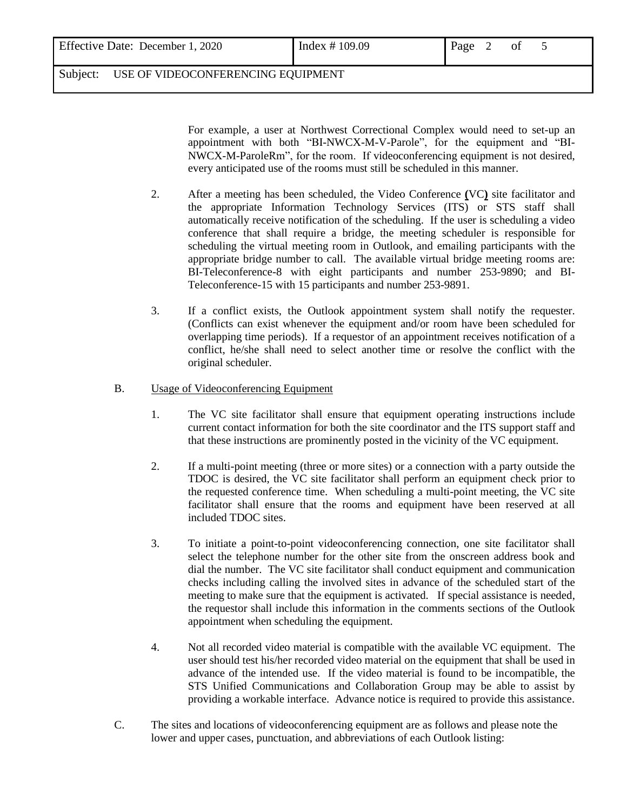| Effective Date: December 1,<br>2020 | Index $\#$ 109.09 | Page | 0 <sub>1</sub> | ຼ |  |
|-------------------------------------|-------------------|------|----------------|---|--|
|                                     |                   |      |                |   |  |

Subject: USE OF VIDEOCONFERENCING EQUIPMENT

For example, a user at Northwest Correctional Complex would need to set-up an appointment with both "BI-NWCX-M-V-Parole", for the equipment and "BI-NWCX-M-ParoleRm", for the room. If videoconferencing equipment is not desired, every anticipated use of the rooms must still be scheduled in this manner.

- 2. After a meeting has been scheduled, the Video Conference **(**VC**)** site facilitator and the appropriate Information Technology Services (ITS) or STS staff shall automatically receive notification of the scheduling. If the user is scheduling a video conference that shall require a bridge, the meeting scheduler is responsible for scheduling the virtual meeting room in Outlook, and emailing participants with the appropriate bridge number to call. The available virtual bridge meeting rooms are: BI-Teleconference-8 with eight participants and number 253-9890; and BI-Teleconference-15 with 15 participants and number 253-9891.
- 3. If a conflict exists, the Outlook appointment system shall notify the requester. (Conflicts can exist whenever the equipment and/or room have been scheduled for overlapping time periods). If a requestor of an appointment receives notification of a conflict, he/she shall need to select another time or resolve the conflict with the original scheduler.
- B. Usage of Videoconferencing Equipment
	- 1. The VC site facilitator shall ensure that equipment operating instructions include current contact information for both the site coordinator and the ITS support staff and that these instructions are prominently posted in the vicinity of the VC equipment.
	- 2. If a multi-point meeting (three or more sites) or a connection with a party outside the TDOC is desired, the VC site facilitator shall perform an equipment check prior to the requested conference time. When scheduling a multi-point meeting, the VC site facilitator shall ensure that the rooms and equipment have been reserved at all included TDOC sites.
	- 3. To initiate a point-to-point videoconferencing connection, one site facilitator shall select the telephone number for the other site from the onscreen address book and dial the number. The VC site facilitator shall conduct equipment and communication checks including calling the involved sites in advance of the scheduled start of the meeting to make sure that the equipment is activated. If special assistance is needed, the requestor shall include this information in the comments sections of the Outlook appointment when scheduling the equipment.
	- 4. Not all recorded video material is compatible with the available VC equipment. The user should test his/her recorded video material on the equipment that shall be used in advance of the intended use. If the video material is found to be incompatible, the STS Unified Communications and Collaboration Group may be able to assist by providing a workable interface. Advance notice is required to provide this assistance.
- C. The sites and locations of videoconferencing equipment are as follows and please note the lower and upper cases, punctuation, and abbreviations of each Outlook listing: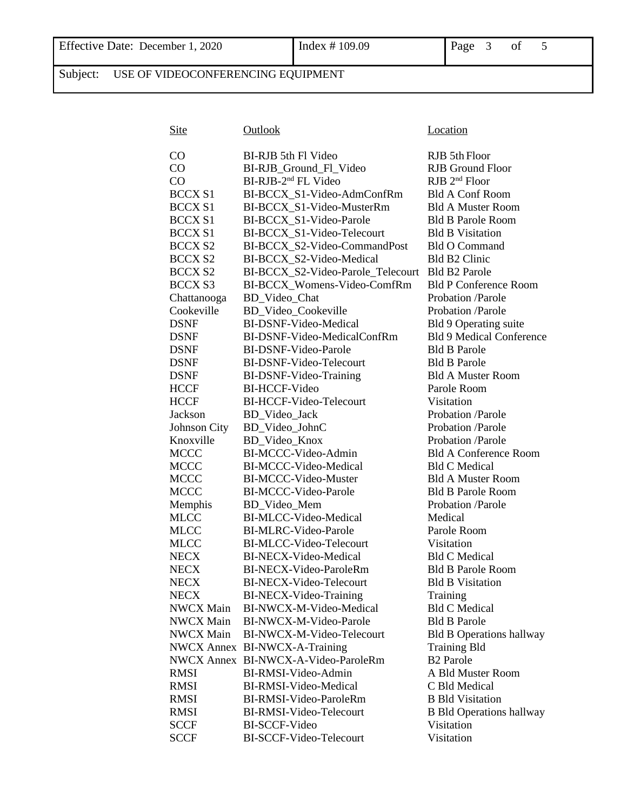Subject: USE OF VIDEOCONFERENCING EQUIPMENT

| <b>Site</b>      | Outlook                             | Location                        |
|------------------|-------------------------------------|---------------------------------|
| CO               | BI-RJB 5th Fl Video                 | RJB 5th Floor                   |
| CO               | BI-RJB_Ground_Fl_Video              | <b>RJB</b> Ground Floor         |
| CO               | BI-RJB-2 <sup>nd</sup> FL Video     | $RJB$ $2nd$ Floor               |
| <b>BCCX S1</b>   | BI-BCCX_S1-Video-AdmConfRm          | <b>Bld A Conf Room</b>          |
| <b>BCCX S1</b>   | BI-BCCX_S1-Video-MusterRm           | <b>Bld A Muster Room</b>        |
| <b>BCCX S1</b>   | BI-BCCX_S1-Video-Parole             | <b>Bld B Parole Room</b>        |
| <b>BCCX S1</b>   | BI-BCCX_S1-Video-Telecourt          | <b>Bld B Visitation</b>         |
| <b>BCCX S2</b>   | BI-BCCX_S2-Video-CommandPost        | <b>Bld O Command</b>            |
| <b>BCCX S2</b>   | BI-BCCX_S2-Video-Medical            | Bld B2 Clinic                   |
| <b>BCCX S2</b>   | BI-BCCX_S2-Video-Parole_Telecourt   | <b>Bld B2 Parole</b>            |
| <b>BCCX S3</b>   | BI-BCCX_Womens-Video-ComfRm         | <b>Bld P Conference Room</b>    |
| Chattanooga      | BD_Video_Chat                       | Probation /Parole               |
| Cookeville       | BD_Video_Cookeville                 | Probation /Parole               |
| <b>DSNF</b>      | BI-DSNF-Video-Medical               | Bld 9 Operating suite           |
| <b>DSNF</b>      | BI-DSNF-Video-MedicalConfRm         | <b>Bld 9 Medical Conference</b> |
| <b>DSNF</b>      | BI-DSNF-Video-Parole                | <b>Bld B Parole</b>             |
| <b>DSNF</b>      | BI-DSNF-Video-Telecourt             | <b>Bld B Parole</b>             |
| <b>DSNF</b>      | BI-DSNF-Video-Training              | <b>Bld A Muster Room</b>        |
| <b>HCCF</b>      | <b>BI-HCCF-Video</b>                | Parole Room                     |
| <b>HCCF</b>      | BI-HCCF-Video-Telecourt             | Visitation                      |
| Jackson          | BD_Video_Jack                       | Probation /Parole               |
| Johnson City     | BD_Video_JohnC                      | Probation /Parole               |
| Knoxville        | BD_Video_Knox                       | Probation /Parole               |
| <b>MCCC</b>      | BI-MCCC-Video-Admin                 | <b>Bld A Conference Room</b>    |
| <b>MCCC</b>      | BI-MCCC-Video-Medical               | <b>Bld C Medical</b>            |
| <b>MCCC</b>      | BI-MCCC-Video-Muster                | <b>Bld A Muster Room</b>        |
| <b>MCCC</b>      | BI-MCCC-Video-Parole                | <b>Bld B Parole Room</b>        |
| Memphis          | BD_Video_Mem                        | Probation /Parole               |
| <b>MLCC</b>      | BI-MLCC-Video-Medical               | Medical                         |
| <b>MLCC</b>      | <b>BI-MLRC-Video-Parole</b>         | Parole Room                     |
| <b>MLCC</b>      | BI-MLCC-Video-Telecourt             | Visitation                      |
| <b>NECX</b>      | BI-NECX-Video-Medical               | <b>Bld C Medical</b>            |
| <b>NECX</b>      | BI-NECX-Video-ParoleRm              | <b>Bld B Parole Room</b>        |
| <b>NECX</b>      | BI-NECX-Video-Telecourt             | <b>Bld B Visitation</b>         |
| <b>NECX</b>      | BI-NECX-Video-Training              | Training                        |
| <b>NWCX Main</b> | BI-NWCX-M-Video-Medical             | <b>Bld C Medical</b>            |
| <b>NWCX Main</b> | BI-NWCX-M-Video-Parole              | <b>Bld B Parole</b>             |
| <b>NWCX Main</b> | BI-NWCX-M-Video-Telecourt           | <b>Bld B Operations hallway</b> |
|                  | NWCX Annex BI-NWCX-A-Training       | <b>Training Bld</b>             |
|                  | NWCX Annex BI-NWCX-A-Video-ParoleRm | <b>B2</b> Parole                |
| <b>RMSI</b>      | BI-RMSI-Video-Admin                 | A Bld Muster Room               |
| <b>RMSI</b>      | BI-RMSI-Video-Medical               | C Bld Medical                   |
| <b>RMSI</b>      | BI-RMSI-Video-ParoleRm              | <b>B</b> Bld Visitation         |
| <b>RMSI</b>      | BI-RMSI-Video-Telecourt             | <b>B Bld Operations hallway</b> |
| <b>SCCF</b>      | <b>BI-SCCF-Video</b>                | Visitation                      |
| SCCF             | BI-SCCF-Video-Telecourt             | Visitation                      |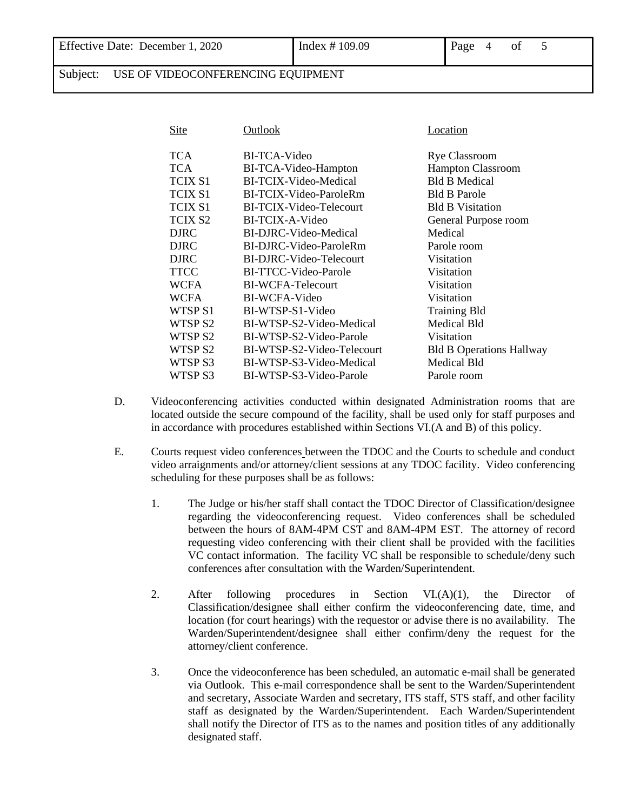Subject: USE OF VIDEOCONFERENCING EQUIPMENT

| <b>Site</b>         | Outlook                    | <b>Location</b>                 |
|---------------------|----------------------------|---------------------------------|
| TCA                 | BI-TCA-Video               | <b>Rye Classroom</b>            |
| TCA                 | BI-TCA-Video-Hampton       | <b>Hampton Classroom</b>        |
| <b>TCIX S1</b>      | BI-TCIX-Video-Medical      | <b>Bld B Medical</b>            |
| <b>TCIX S1</b>      | BI-TCIX-Video-ParoleRm     | <b>Bld B Parole</b>             |
| TCIX S1             | BI-TCIX-Video-Telecourt    | <b>Bld B Visitation</b>         |
| TCIX S <sub>2</sub> | BI-TCIX-A-Video            | General Purpose room            |
| <b>DJRC</b>         | BI-DJRC-Video-Medical      | Medical                         |
| <b>DJRC</b>         | BI-DJRC-Video-ParoleRm     | Parole room                     |
| <b>DJRC</b>         | BI-DJRC-Video-Telecourt    | Visitation                      |
| <b>TTCC</b>         | BI-TTCC-Video-Parole       | Visitation                      |
| <b>WCFA</b>         | <b>BI-WCFA-Telecourt</b>   | Visitation                      |
| <b>WCFA</b>         | BI-WCFA-Video              | Visitation                      |
| WTSP S1             | BI-WTSP-S1-Video           | <b>Training Bld</b>             |
| WTSP <sub>S2</sub>  | BI-WTSP-S2-Video-Medical   | Medical Bld                     |
| WTSP <sub>S2</sub>  | BI-WTSP-S2-Video-Parole    | Visitation                      |
| WTSP <sub>S2</sub>  | BI-WTSP-S2-Video-Telecourt | <b>Bld B Operations Hallway</b> |
| WTSP <sub>S3</sub>  | BI-WTSP-S3-Video-Medical   | <b>Medical Bld</b>              |
| WTSP S3             | BI-WTSP-S3-Video-Parole    | Parole room                     |
|                     |                            |                                 |

- D. Videoconferencing activities conducted within designated Administration rooms that are located outside the secure compound of the facility, shall be used only for staff purposes and in accordance with procedures established within Sections VI.(A and B) of this policy.
- E. Courts request video conferences between the TDOC and the Courts to schedule and conduct video arraignments and/or attorney/client sessions at any TDOC facility. Video conferencing scheduling for these purposes shall be as follows:
	- 1. The Judge or his/her staff shall contact the TDOC Director of Classification/designee regarding the videoconferencing request. Video conferences shall be scheduled between the hours of 8AM-4PM CST and 8AM-4PM EST. The attorney of record requesting video conferencing with their client shall be provided with the facilities VC contact information. The facility VC shall be responsible to schedule/deny such conferences after consultation with the Warden/Superintendent.
	- 2. After following procedures in Section VI.(A)(1), the Director of Classification/designee shall either confirm the videoconferencing date, time, and location (for court hearings) with the requestor or advise there is no availability. The Warden/Superintendent/designee shall either confirm/deny the request for the attorney/client conference.
	- 3. Once the videoconference has been scheduled, an automatic e-mail shall be generated via Outlook. This e-mail correspondence shall be sent to the Warden/Superintendent and secretary, Associate Warden and secretary, ITS staff, STS staff, and other facility staff as designated by the Warden/Superintendent. Each Warden/Superintendent shall notify the Director of ITS as to the names and position titles of any additionally designated staff.